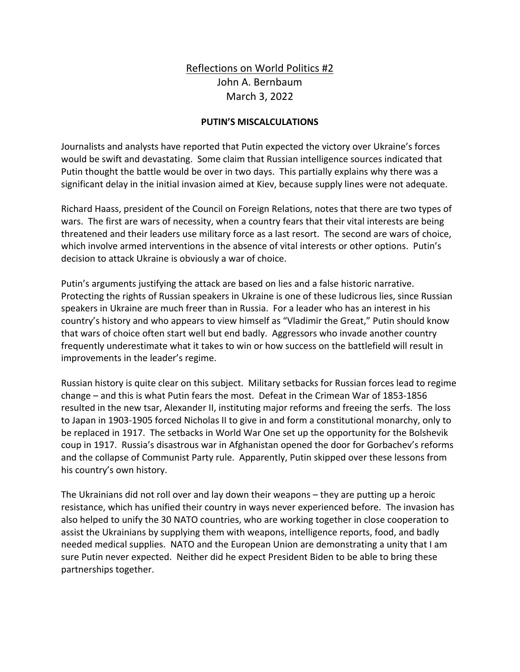## Reflections on World Politics #2 John A. Bernbaum March 3, 2022

## **PUTIN'S MISCALCULATIONS**

Journalists and analysts have reported that Putin expected the victory over Ukraine's forces would be swift and devastating. Some claim that Russian intelligence sources indicated that Putin thought the battle would be over in two days. This partially explains why there was a significant delay in the initial invasion aimed at Kiev, because supply lines were not adequate.

Richard Haass, president of the Council on Foreign Relations, notes that there are two types of wars. The first are wars of necessity, when a country fears that their vital interests are being threatened and their leaders use military force as a last resort. The second are wars of choice, which involve armed interventions in the absence of vital interests or other options. Putin's decision to attack Ukraine is obviously a war of choice.

Putin's arguments justifying the attack are based on lies and a false historic narrative. Protecting the rights of Russian speakers in Ukraine is one of these ludicrous lies, since Russian speakers in Ukraine are much freer than in Russia. For a leader who has an interest in his country's history and who appears to view himself as "Vladimir the Great," Putin should know that wars of choice often start well but end badly. Aggressors who invade another country frequently underestimate what it takes to win or how success on the battlefield will result in improvements in the leader's regime.

Russian history is quite clear on this subject. Military setbacks for Russian forces lead to regime change – and this is what Putin fears the most. Defeat in the Crimean War of 1853-1856 resulted in the new tsar, Alexander II, instituting major reforms and freeing the serfs. The loss to Japan in 1903-1905 forced Nicholas II to give in and form a constitutional monarchy, only to be replaced in 1917. The setbacks in World War One set up the opportunity for the Bolshevik coup in 1917. Russia's disastrous war in Afghanistan opened the door for Gorbachev's reforms and the collapse of Communist Party rule. Apparently, Putin skipped over these lessons from his country's own history.

The Ukrainians did not roll over and lay down their weapons – they are putting up a heroic resistance, which has unified their country in ways never experienced before. The invasion has also helped to unify the 30 NATO countries, who are working together in close cooperation to assist the Ukrainians by supplying them with weapons, intelligence reports, food, and badly needed medical supplies. NATO and the European Union are demonstrating a unity that I am sure Putin never expected. Neither did he expect President Biden to be able to bring these partnerships together.